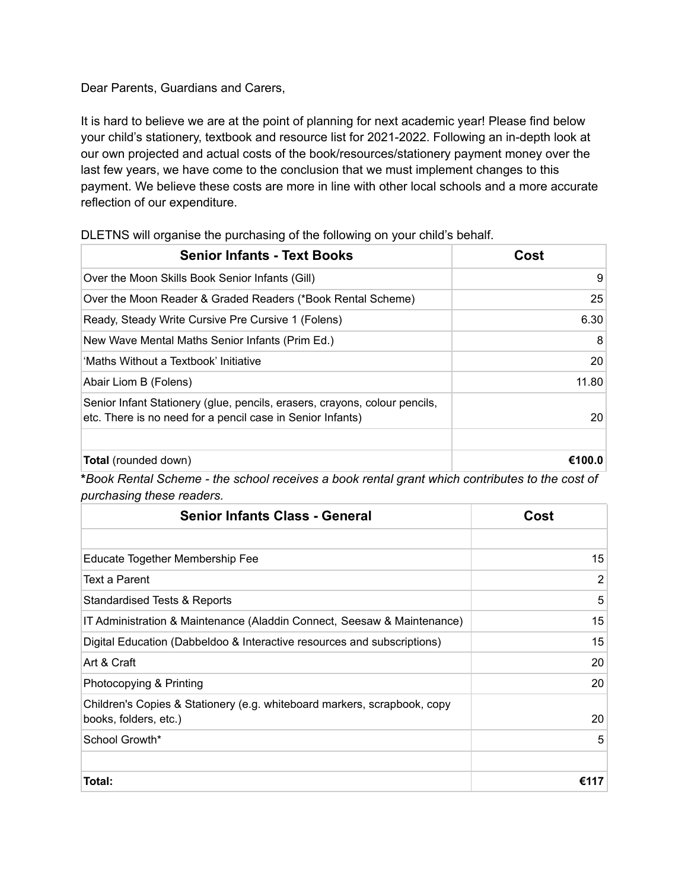Dear Parents, Guardians and Carers,

It is hard to believe we are at the point of planning for next academic year! Please find below your child's stationery, textbook and resource list for 2021-2022. Following an in-depth look at our own projected and actual costs of the book/resources/stationery payment money over the last few years, we have come to the conclusion that we must implement changes to this payment. We believe these costs are more in line with other local schools and a more accurate reflection of our expenditure.

| <b>Senior Infants - Text Books</b>                                                                                                       | Cost   |
|------------------------------------------------------------------------------------------------------------------------------------------|--------|
| Over the Moon Skills Book Senior Infants (Gill)                                                                                          | 9      |
| Over the Moon Reader & Graded Readers (*Book Rental Scheme)                                                                              | 25     |
| Ready, Steady Write Cursive Pre Cursive 1 (Folens)                                                                                       | 6.30   |
| New Wave Mental Maths Senior Infants (Prim Ed.)                                                                                          | 8      |
| 'Maths Without a Textbook' Initiative                                                                                                    | 20     |
| Abair Liom B (Folens)                                                                                                                    | 11.80  |
| Senior Infant Stationery (glue, pencils, erasers, crayons, colour pencils,<br>etc. There is no need for a pencil case in Senior Infants) | 20     |
| <b>Total</b> (rounded down)                                                                                                              | €100.0 |

DLETNS will organise the purchasing of the following on your child's behalf.

**\****Book Rental Scheme - the school receives a book rental grant which contributes to the cost of purchasing these readers.*

| <b>Senior Infants Class - General</b>                                                             | Cost |
|---------------------------------------------------------------------------------------------------|------|
|                                                                                                   |      |
| Educate Together Membership Fee                                                                   | 15   |
| Text a Parent                                                                                     | 2    |
| <b>Standardised Tests &amp; Reports</b>                                                           | 5    |
| IT Administration & Maintenance (Aladdin Connect, Seesaw & Maintenance)                           | 15   |
| Digital Education (Dabbeldoo & Interactive resources and subscriptions)                           | 15   |
| Art & Craft                                                                                       | 20   |
| Photocopying & Printing                                                                           | 20   |
| Children's Copies & Stationery (e.g. whiteboard markers, scrapbook, copy<br>books, folders, etc.) | 20   |
| School Growth*                                                                                    | 5    |
| Total:                                                                                            | €117 |